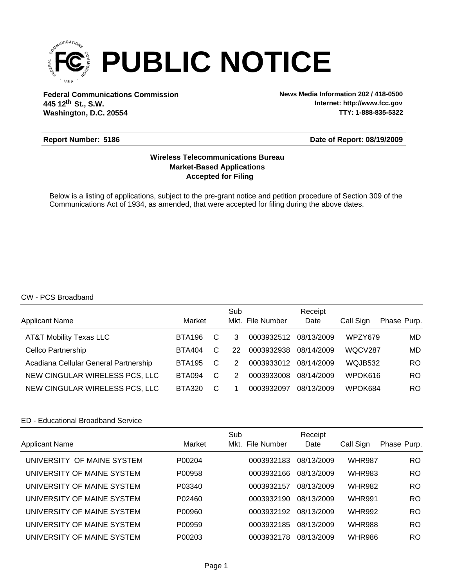

**Federal Communications Commission News Media Information 202 / 418-0500 Washington, D.C. 20554 th 445 12 St., S.W.**

**Internet: http://www.fcc.gov TTY: 1-888-835-5322**

#### **Report Number: 5186**

**Date of Report: 08/19/2009**

# **Accepted for Filing Market-Based Applications Wireless Telecommunications Bureau**

Below is a listing of applications, subject to the pre-grant notice and petition procedure of Section 309 of the Communications Act of 1934, as amended, that were accepted for filing during the above dates.

## CW - PCS Broadband

| <b>Applicant Name</b>                 | Market        |   | Sub           | Mkt. File Number | Receipt<br>Date | Call Sign | Phase Purp. |
|---------------------------------------|---------------|---|---------------|------------------|-----------------|-----------|-------------|
| <b>AT&amp;T Mobility Texas LLC</b>    | BTA196        | C | 3             | 0003932512       | 08/13/2009      | WPZY679   | MD          |
| <b>Cellco Partnership</b>             | BTA404        | C | 22            | 0003932938       | 08/14/2009      | WQCV287   | MD          |
| Acadiana Cellular General Partnership | <b>BTA195</b> | C | $\mathcal{P}$ | 0003933012       | 08/14/2009      | WQJB532   | RO          |
| NEW CINGULAR WIRELESS PCS, LLC        | <b>BTA094</b> | C | 2             | 0003933008       | 08/14/2009      | WPOK616   | RO.         |
| NEW CINGULAR WIRELESS PCS, LLC        | BTA320        | C |               | 0003932097       | 08/13/2009      | WPOK684   | RO.         |

#### ED - Educational Broadband Service

| <b>Applicant Name</b>      | Market | Sub<br>Mkt. File Number | Receipt<br>Date | Call Sign     | Phase Purp. |
|----------------------------|--------|-------------------------|-----------------|---------------|-------------|
| UNIVERSITY OF MAINE SYSTEM | P00204 | 0003932183              | 08/13/2009      | <b>WHR987</b> | RO.         |
| UNIVERSITY OF MAINE SYSTEM | P00958 | 0003932166              | 08/13/2009      | <b>WHR983</b> | <b>RO</b>   |
| UNIVERSITY OF MAINE SYSTEM | P03340 | 0003932157              | 08/13/2009      | <b>WHR982</b> | RO.         |
| UNIVERSITY OF MAINE SYSTEM | P02460 | 0003932190              | 08/13/2009      | <b>WHR991</b> | <b>RO</b>   |
| UNIVERSITY OF MAINE SYSTEM | P00960 | 0003932192              | 08/13/2009      | <b>WHR992</b> | <b>RO</b>   |
| UNIVERSITY OF MAINE SYSTEM | P00959 | 0003932185              | 08/13/2009      | <b>WHR988</b> | RO.         |
| UNIVERSITY OF MAINE SYSTEM | P00203 | 0003932178              | 08/13/2009      | <b>WHR986</b> | RO.         |